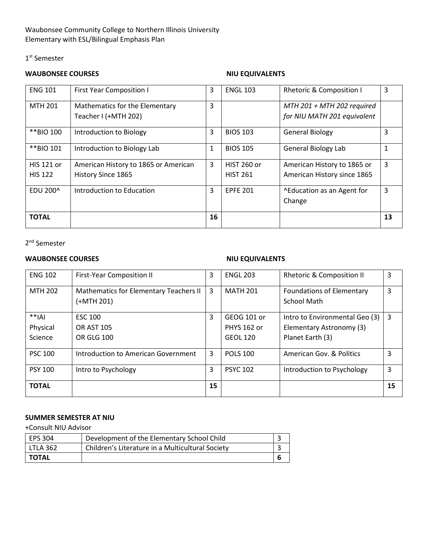## Waubonsee Community College to Northern Illinois University Elementary with ESL/Bilingual Emphasis Plan

## 1<sup>st</sup> Semester

## **WAUBONSEE COURSES NIU EQUIVALENTS**

| <b>ENG 101</b>    | <b>First Year Composition I</b>      | 3  | <b>ENGL 103</b>    | <b>Rhetoric &amp; Composition I</b> | 3  |
|-------------------|--------------------------------------|----|--------------------|-------------------------------------|----|
| MTH 201           | Mathematics for the Elementary       | 3  |                    | $MTH 201 + MTH 202$ required        |    |
|                   | Teacher I (+MTH 202)                 |    |                    | for NIU MATH 201 equivalent         |    |
| **BIO 100         | Introduction to Biology              | 3  | <b>BIOS 103</b>    | <b>General Biology</b>              | 3  |
| **BIO 101         | Introduction to Biology Lab          | 1  | <b>BIOS 105</b>    | <b>General Biology Lab</b>          |    |
| <b>HIS 121 or</b> | American History to 1865 or American | 3  | <b>HIST 260 or</b> | American History to 1865 or         | 3  |
| <b>HIS 122</b>    | History Since 1865                   |    | <b>HIST 261</b>    | American History since 1865         |    |
| EDU 200^          | Introduction to Education            | 3  | <b>EPFE 201</b>    | ^Education as an Agent for          | 3  |
|                   |                                      |    |                    | Change                              |    |
| <b>TOTAL</b>      |                                      | 16 |                    |                                     | 13 |

2nd Semester

# **WAUBONSEE COURSES NIU EQUIVALENTS**

| <b>ENG 102</b>                 | <b>First-Year Composition II</b>                     | 3  | <b>ENGL 203</b>                                      | <b>Rhetoric &amp; Composition II</b>                                           | 3  |
|--------------------------------|------------------------------------------------------|----|------------------------------------------------------|--------------------------------------------------------------------------------|----|
| MTH 202                        | Mathematics for Elementary Teachers II<br>(+MTH 201) | 3  | <b>MATH 201</b>                                      | <b>Foundations of Elementary</b><br><b>School Math</b>                         | 3  |
| $**IAI$<br>Physical<br>Science | <b>ESC 100</b><br><b>OR AST 105</b><br>OR GLG 100    | 3  | GEOG 101 or<br><b>PHYS 162 or</b><br><b>GEOL 120</b> | Intro to Environmental Geo (3)<br>Elementary Astronomy (3)<br>Planet Earth (3) | 3  |
| <b>PSC 100</b>                 | Introduction to American Government                  | 3  | <b>POLS 100</b>                                      | American Gov. & Politics                                                       | 3  |
| <b>PSY 100</b>                 | Intro to Psychology                                  | 3  | <b>PSYC 102</b>                                      | Introduction to Psychology                                                     | 3  |
| <b>TOTAL</b>                   |                                                      | 15 |                                                      |                                                                                | 15 |

### **SUMMER SEMESTER AT NIU**

+Consult NIU Advisor

| EPS 304      | Development of the Elementary School Child       |  |
|--------------|--------------------------------------------------|--|
| l LTLA 362   | Children's Literature in a Multicultural Society |  |
| <b>TOTAL</b> |                                                  |  |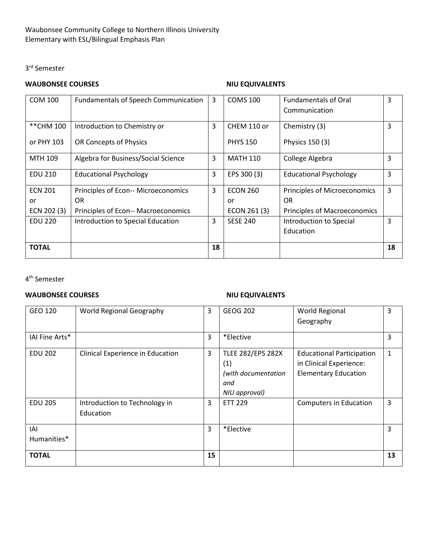# 3rd Semester

# **WAUBONSEE COURSES NIU EQUIVALENTS**

| <b>COM 100</b> | <b>Fundamentals of Speech Communication</b> | 3  | <b>COMS 100</b> | <b>Fundamentals of Oral</b>   | 3  |
|----------------|---------------------------------------------|----|-----------------|-------------------------------|----|
|                |                                             |    |                 | Communication                 |    |
| **CHM 100      | Introduction to Chemistry or                | 3  | CHEM 110 or     | Chemistry (3)                 | 3  |
| or PHY 103     | OR Concepts of Physics                      |    | <b>PHYS 150</b> | Physics 150 (3)               |    |
| MTH 109        | Algebra for Business/Social Science         | 3  | <b>MATH 110</b> | College Algebra               | 3  |
| <b>EDU 210</b> | <b>Educational Psychology</b>               | 3  | EPS 300 (3)     | <b>Educational Psychology</b> | 3  |
| <b>ECN 201</b> | Principles of Econ-- Microeconomics         | 3  | <b>ECON 260</b> | Principles of Microeconomics  | 3  |
| or             | 0R                                          |    | or              | OR.                           |    |
| ECN 202 (3)    | Principles of Econ-- Macroeconomics         |    | ECON 261 (3)    | Principles of Macroeconomics  |    |
| <b>EDU 220</b> | Introduction to Special Education           | 3  | <b>SESE 240</b> | Introduction to Special       | 3  |
|                |                                             |    |                 | Education                     |    |
| <b>TOTAL</b>   |                                             | 18 |                 |                               | 18 |

4th Semester

# **WAUBONSEE COURSES NIU EQUIVALENTS**

| GEO 120            | World Regional Geography                   | 3              | <b>GEOG 202</b>                                                                | World Regional<br>Geography                                                                | 3            |
|--------------------|--------------------------------------------|----------------|--------------------------------------------------------------------------------|--------------------------------------------------------------------------------------------|--------------|
| IAI Fine Arts*     |                                            | 3              | *Elective                                                                      |                                                                                            | 3            |
| <b>EDU 202</b>     | Clinical Experience in Education           | $\overline{3}$ | <b>TLEE 282/EPS 282X</b><br>(1)<br>(with documentation<br>and<br>NIU approval) | <b>Educational Participation</b><br>in Clinical Experience:<br><b>Elementary Education</b> | $\mathbf{1}$ |
| <b>EDU 205</b>     | Introduction to Technology in<br>Education | 3              | <b>ETT 229</b>                                                                 | <b>Computers in Education</b>                                                              | 3            |
| IAI<br>Humanities* |                                            | 3              | *Elective                                                                      |                                                                                            | 3            |
| <b>TOTAL</b>       |                                            | 15             |                                                                                |                                                                                            | 13           |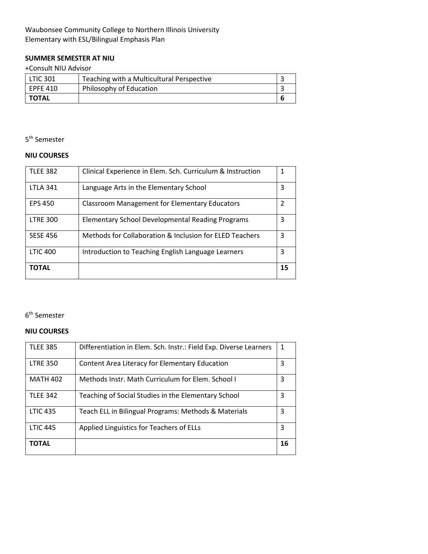# Waubonsee Community College to Northern Illinois University Elementary with ESL/Bilingual Emphasis Plan

# **SUMMER SEMESTER AT NIU**

## +Consult NIU Advisor

| <b>LTIC 301</b> | Teaching with a Multicultural Perspective |  |
|-----------------|-------------------------------------------|--|
| EPFE 410        | Philosophy of Education                   |  |
| TOTAL           |                                           |  |

# 5th Semester

## **NIU COURSES**

| <b>TLEE 382</b> | Clinical Experience in Elem. Sch. Curriculum & Instruction |    |
|-----------------|------------------------------------------------------------|----|
| <b>LTLA 341</b> | Language Arts in the Elementary School                     | 3  |
| <b>EPS 450</b>  | <b>Classroom Management for Elementary Educators</b>       | 2  |
| <b>LTRE 300</b> | <b>Elementary School Developmental Reading Programs</b>    | 3  |
| <b>SESE 456</b> | Methods for Collaboration & Inclusion for ELED Teachers    | 3  |
| <b>LTIC 400</b> | Introduction to Teaching English Language Learners         | 3  |
| <b>TOTAL</b>    |                                                            | 15 |

# 6th Semester

### **NIU COURSES**

| <b>TLEE 385</b> | Differentiation in Elem. Sch. Instr.: Field Exp. Diverse Learners |    |
|-----------------|-------------------------------------------------------------------|----|
| <b>LTRE 350</b> | Content Area Literacy for Elementary Education                    | 3  |
| <b>MATH 402</b> | Methods Instr. Math Curriculum for Elem. School I                 | 3  |
| <b>TLEE 342</b> | Teaching of Social Studies in the Elementary School               | 3  |
| <b>LTIC 435</b> | Teach ELL in Bilingual Programs: Methods & Materials              | 3  |
| <b>LTIC 445</b> | Applied Linguistics for Teachers of ELLs                          | 3  |
| <b>TOTAL</b>    |                                                                   | 16 |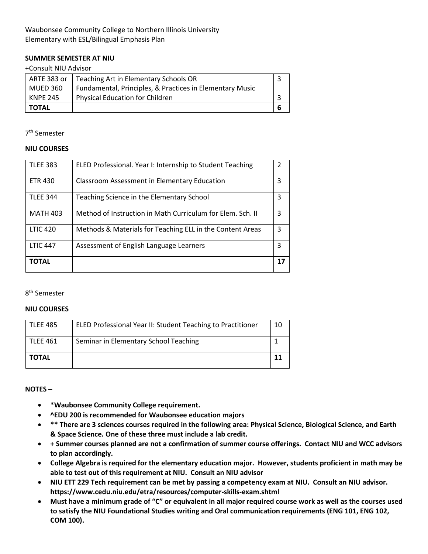### **SUMMER SEMESTER AT NIU**

#### +Consult NIU Advisor

| ARTE 383 or | Teaching Art in Elementary Schools OR                    |  |
|-------------|----------------------------------------------------------|--|
| MUED 360    | Fundamental, Principles, & Practices in Elementary Music |  |
| l KNPE 245  | <b>Physical Education for Children</b>                   |  |
| TOTAL       |                                                          |  |

7th Semester

### **NIU COURSES**

| <b>TLEE 383</b> | ELED Professional. Year I: Internship to Student Teaching  | 2  |
|-----------------|------------------------------------------------------------|----|
| <b>ETR 430</b>  | Classroom Assessment in Elementary Education               | 3  |
| <b>TLEE 344</b> | Teaching Science in the Elementary School                  | 3  |
| <b>MATH 403</b> | Method of Instruction in Math Curriculum for Elem. Sch. II | 3  |
| <b>LTIC 420</b> | Methods & Materials for Teaching ELL in the Content Areas  | 3  |
| <b>LTIC 447</b> | Assessment of English Language Learners                    | 3  |
| <b>TOTAL</b>    |                                                            | 17 |

### 8th Semester

### **NIU COURSES**

| TLEE 485     | ELED Professional Year II: Student Teaching to Practitioner | 10 |
|--------------|-------------------------------------------------------------|----|
| l TLEE 461   | Seminar in Elementary School Teaching                       |    |
| <b>TOTAL</b> |                                                             |    |

**NOTES –**

- **\*Waubonsee Community College requirement.**
- **^EDU 200 is recommended for Waubonsee education majors**
- **\*\* There are 3 sciences courses required in the following area: Physical Science, Biological Science, and Earth & Space Science. One of these three must include a lab credit.**
- **+ Summer courses planned are not a confirmation of summer course offerings. Contact NIU and WCC advisors to plan accordingly.**
- **College Algebra is required for the elementary education major. However, students proficient in math may be able to test out of this requirement at NIU. Consult an NIU advisor**
- **NIU ETT 229 Tech requirement can be met by passing a competency exam at NIU. Consult an NIU advisor. https://www.cedu.niu.edu/etra/resources/computer-skills-exam.shtml**
- **Must have a minimum grade of "C" or equivalent in all major required course work as well as the courses used to satisfy the NIU Foundational Studies writing and Oral communication requirements (ENG 101, ENG 102, COM 100).**